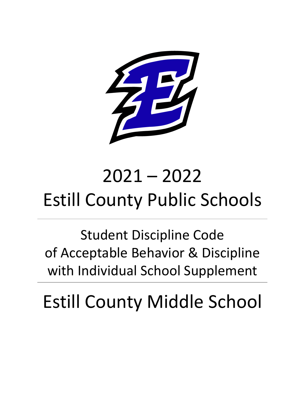

# 2021 – 2022 Estill County Public Schools

Student Discipline Code of Acceptable Behavior & Discipline with Individual School Supplement

Estill County Middle School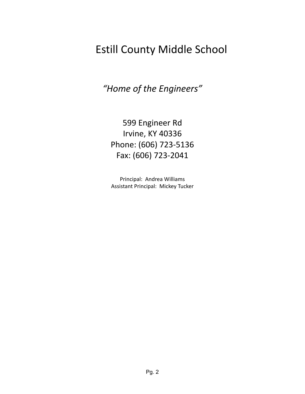# Estill County Middle School

*"Home of the Engineers"*

599 Engineer Rd Irvine, KY 40336 Phone: (606) 723-5136 Fax: (606) 723-2041

Principal: Andrea Williams Assistant Principal: Mickey Tucker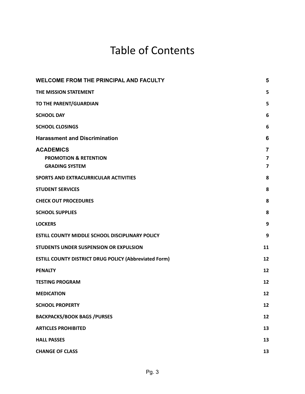# Table of Contents

| <b>WELCOME FROM THE PRINCIPAL AND FACULTY</b>                                 |                                                         |  |  |
|-------------------------------------------------------------------------------|---------------------------------------------------------|--|--|
| THE MISSION STATEMENT                                                         | 5                                                       |  |  |
| TO THE PARENT/GUARDIAN                                                        | 5                                                       |  |  |
| <b>SCHOOL DAY</b>                                                             | 6                                                       |  |  |
| <b>SCHOOL CLOSINGS</b>                                                        | 6                                                       |  |  |
| <b>Harassment and Discrimination</b>                                          | 6                                                       |  |  |
| <b>ACADEMICS</b><br><b>PROMOTION &amp; RETENTION</b><br><b>GRADING SYSTEM</b> | 7<br>$\overline{\mathbf{z}}$<br>$\overline{\mathbf{z}}$ |  |  |
| SPORTS AND EXTRACURRICULAR ACTIVITIES                                         | 8                                                       |  |  |
| <b>STUDENT SERVICES</b>                                                       | 8                                                       |  |  |
| <b>CHECK OUT PROCEDURES</b>                                                   | 8                                                       |  |  |
| <b>SCHOOL SUPPLIES</b>                                                        | 8                                                       |  |  |
| <b>LOCKERS</b>                                                                | 9                                                       |  |  |
| ESTILL COUNTY MIDDLE SCHOOL DISCIPLINARY POLICY                               | 9                                                       |  |  |
| STUDENTS UNDER SUSPENSION OR EXPULSION                                        | 11                                                      |  |  |
| <b>ESTILL COUNTY DISTRICT DRUG POLICY (Abbreviated Form)</b>                  | 12                                                      |  |  |
| <b>PENALTY</b>                                                                | 12                                                      |  |  |
| <b>TESTING PROGRAM</b>                                                        | 12                                                      |  |  |
| <b>MEDICATION</b>                                                             | 12                                                      |  |  |
| <b>SCHOOL PROPERTY</b>                                                        | 12                                                      |  |  |
| <b>BACKPACKS/BOOK BAGS /PURSES</b>                                            | 12                                                      |  |  |
| <b>ARTICLES PROHIBITED</b>                                                    | 13                                                      |  |  |
| <b>HALL PASSES</b>                                                            | 13                                                      |  |  |
| <b>CHANGE OF CLASS</b>                                                        | 13                                                      |  |  |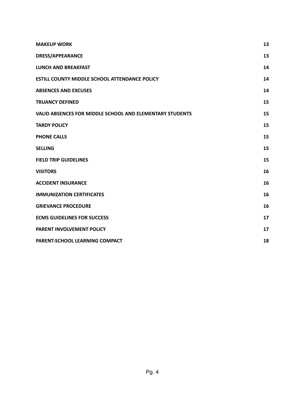| <b>MAKEUP WORK</b>                                              | 13 |
|-----------------------------------------------------------------|----|
| <b>DRESS/APPEARANCE</b>                                         | 13 |
| <b>LUNCH AND BREAKFAST</b>                                      | 14 |
| <b>ESTILL COUNTY MIDDLE SCHOOL ATTENDANCE POLICY</b>            | 14 |
| <b>ABSENCES AND EXCUSES</b>                                     | 14 |
| <b>TRUANCY DEFINED</b>                                          | 15 |
| <b>VALID ABSENCES FOR MIDDLE SCHOOL AND ELEMENTARY STUDENTS</b> | 15 |
| <b>TARDY POLICY</b>                                             | 15 |
| <b>PHONE CALLS</b>                                              | 15 |
| <b>SELLING</b>                                                  | 15 |
| <b>FIELD TRIP GUIDELINES</b>                                    | 15 |
| <b>VISITORS</b>                                                 | 16 |
| <b>ACCIDENT INSURANCE</b>                                       | 16 |
| <b>IMMUNIZATION CERTIFICATES</b>                                | 16 |
| <b>GRIEVANCE PROCEDURE</b>                                      | 16 |
| <b>ECMS GUIDELINES FOR SUCCESS</b>                              | 17 |
| PARENT INVOLVEMENT POLICY                                       | 17 |
| PARENT-SCHOOL LEARNING COMPACT                                  | 18 |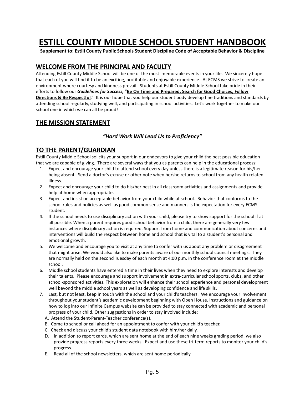# **ESTILL COUNTY MIDDLE SCHOOL STUDENT HANDBOOK**

**Supplement to: Estill County Public Schools Student Discipline Code of Acceptable Behavior & Discipline**

#### <span id="page-4-0"></span>**WELCOME FROM THE PRINCIPAL AND FACULTY**

Attending Estill County Middle School will be one of the most memorable events in your life. We sincerely hope that each of you will find it to be an exciting, profitable and enjoyable experience. At ECMS we strive to create an environment where courtesy and kindness prevail. Students at Estill County Middle School take pride in their efforts to follow our *Guidelines for Success,* "**Be On Time and Prepared, Search for Good Choices, Follow Directions & Be Respectful**." It is our hope that you help our student body develop fine traditions and standards by attending school regularly, studying well, and participating in school activities. Let's work together to make our school one in which we can all be proud!

#### <span id="page-4-1"></span>**THE MISSION STATEMENT**

#### *"Hard Work Will Lead Us to Proficiency"*

#### <span id="page-4-2"></span>**TO THE PARENT/GUARDIAN**

Estill County Middle School solicits your support in our endeavors to give your child the best possible education that we are capable of giving. There are several ways that you as parents can help in the educational process:

- 1. Expect and encourage your child to attend school every day unless there is a legitimate reason for his/her being absent. Send a doctor's excuse or other note when he/she returns to school from any health related illness.
- 2. Expect and encourage your child to do his/her best in all classroom activities and assignments and provide help at home when appropriate.
- 3. Expect and insist on acceptable behavior from your child while at school. Behavior that conforms to the school rules and policies as well as good common sense and manners is the expectation for every ECMS student.
- 4. If the school needs to use disciplinary action with your child, please try to show support for the school if at all possible. When a parent requires good school behavior from a child, there are generally very few instances where disciplinary action is required. Support from home and communication about concerns and interventions will build the respect between home and school that is vital to a student's personal and emotional growth.
- 5. We welcome and encourage you to visit at any time to confer with us about any problem or disagreement that might arise. We would also like to make parents aware of our monthly school council meetings. They are normally held on the second Tuesday of each month at 4:00 p.m. in the conference room at the middle school.
- 6. Middle school students have entered a time in their lives when they need to explore interests and develop their talents. Please encourage and support involvement in extra-curricular school sports, clubs, and other school-sponsored activities. This exploration will enhance their school experience and personal development well beyond the middle school years as well as developing confidence and life skills.
- 7. Last, but not least, keep in touch with the school and your child's teachers. We encourage your involvement throughout your student's academic development beginning with Open House. Instructions and guidance on how to log into our Infinite Campus website can be provided to stay connected with academic and personal progress of your child. Other suggestions in order to stay involved include:
	- A. Attend the Student-Parent-Teacher conference(s).
	- B. Come to school or call ahead for an appointment to confer with your child's teacher.
	- C. Check and discuss your child's student data notebook with him/her daily.
	- D. In addition to report cards, which are sent home at the end of each nine weeks grading period, we also provide progress reports every three weeks. Expect and use these tri-term reports to monitor your child's progress.
	- E. Read all of the school newsletters, which are sent home periodically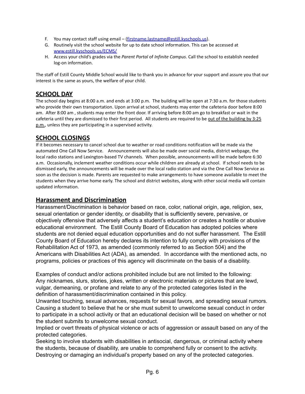- F. You may contact staff using email [\(firstname.lastname@estill.kyschools.us](mailto:firstname.lastname@estill.kyschools.us)).
- G. Routinely visit the school website for up to date school information. This can be accessed at [www.estill.kyschools.us/ECMS/](http://www.estill.kyschools.us/ECMS/)
- H. Access your child's grades via the *Parent Portal* of *Infinite Campus*. Call the school to establish needed log-on information.

The staff of Estill County Middle School would like to thank you in advance for your support and assure you that our interest is the same as yours, the welfare of your child.

#### <span id="page-5-0"></span>**SCHOOL DAY**

The school day begins at 8:00 a.m. and ends at 3:00 p.m. The building will be open at 7:30 a.m. for those students who provide their own transportation. Upon arrival at school, students may enter the cafeteria door before 8:00 am. After 8:00 am , students may enter the front door. If arriving before 8:00 am go to breakfast or wait in the cafeteria until they are dismissed to their first period. All students are required to be out of the building by 3:25 p.m., unless they are participating in a supervised activity.

#### <span id="page-5-1"></span>**SCHOOL CLOSINGS**

If it becomes necessary to cancel school due to weather or road conditions notification will be made via the automated One Call Now Service. Announcements will also be made over social media, district webpage, the local radio stations and Lexington-based TV channels. When possible, announcements will be made before 6:30 a.m. Occasionally, inclement weather conditions occur while children are already at school. If school needs to be dismissed early, the announcements will be made over the local radio station and via the One Call Now Service as soon as the decision is made. Parents are requested to make arrangements to have someone available to meet the students when they arrive home early. The school and district websites, along with other social media will contain updated information.

#### <span id="page-5-2"></span>**Harassment and Discrimination**

Harassment/Discrimination is behavior based on race, color, national origin, age, religion, sex, sexual orientation or gender identity, or disability that is sufficiently severe, pervasive, or objectively offensive that adversely affects a student's education or creates a hostile or abusive educational environment. The Estill County Board of Education has adopted policies where students are not denied equal education opportunities and do not suffer harassment. The Estill County Board of Education hereby declares its intention to fully comply with provisions of the Rehabilitation Act of 1973, as amended (commonly referred to as Section 504) and the Americans with Disabilities Act (ADA), as amended. In accordance with the mentioned acts, no programs, policies or practices of this agency will discriminate on the basis of a disability.

Examples of conduct and/or actions prohibited include but are not limited to the following: Any nicknames, slurs, stories, jokes, written or electronic materials or pictures that are lewd, vulgar, demeaning, or profane and relate to any of the protected categories listed in the definition of harassment/discrimination contained in this policy.

Unwanted touching, sexual advances, requests for sexual favors, and spreading sexual rumors. Causing a student to believe that he or she must submit to unwelcome sexual conduct in order to participate in a school activity or that an educational decision will be based on whether or not the student submits to unwelcome sexual conduct.

Implied or overt threats of physical violence or acts of aggression or assault based on any of the protected categories.

Seeking to involve students with disabilities in antisocial, dangerous, or criminal activity where the students, because of disability, are unable to comprehend fully or consent to the activity. Destroying or damaging an individual's property based on any of the protected categories.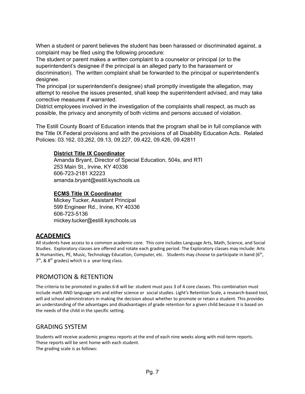When a student or parent believes the student has been harassed or discriminated against, a complaint may be filed using the following procedure:

The student or parent makes a written complaint to a counselor or principal (or to the superintendent's designee if the principal is an alleged party to the harassment or discrimination). The written complaint shall be forwarded to the principal or superintendent's designee.

The principal (or superintendent's designee) shall promptly investigate the allegation, may attempt to resolve the issues presented, shall keep the superintendent advised, and may take corrective measures if warranted.

District employees involved in the investigation of the complaints shall respect, as much as possible, the privacy and anonymity of both victims and persons accused of violation.

The Estill County Board of Education intends that the program shall be in full compliance with the Title IX Federal provisions and with the provisions of all Disability Education Acts. Related Policies: 03.162, 03.262, 09.13, 09.227, 09.422, 09.426, 09.42811

#### **District Title IX Coordinator**

Amanda Bryant, Director of Special Education, 504s, and RTI 253 Main St., Irvine, KY 40336 606-723-2181 X2223 amanda.bryant@estill.kyschools.us

#### **ECMS Title IX Coordinator**

Mickey Tucker, Assistant Principal 599 Engineer Rd., Irvine, KY 40336 606-723-5136 mickey.tucker@estill.kyschools.us

# <span id="page-6-0"></span>**ACADEMICS**

All students have access to a common academic core. This core includes Language Arts, Math, Science, and Social Studies. Exploratory classes are offered and rotate each grading period. The Exploratory classes may include: Arts & Humanities, PE, Music, Technology Education, Computer, etc. Students may choose to participate in band (6<sup>th</sup>,  $7<sup>th</sup>$ , & 8<sup>th</sup> grades) which is a year-long class.

# <span id="page-6-1"></span>PROMOTION & RETENTION

The criteria to be promoted in grades 6-8 will be: student must pass 3 of 4 core classes. This combination must include math AND language arts and either science or social studies. Light's Retention Scale, a research-based tool, will aid school administrators in making the decision about whether to promote or retain a student. This provides an understanding of the advantages and disadvantages of grade retention for a given child because it is based on the needs of the child in the specific setting.

#### <span id="page-6-2"></span>GRADING SYSTEM

Students will receive academic progress reports at the end of each nine weeks along with mid-term reports. These reports will be sent home with each student. The grading scale is as follows: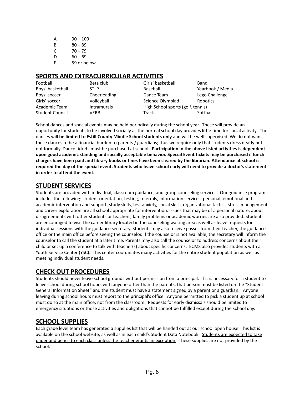| А | $90 - 100$  |
|---|-------------|
| в | $80 - 89$   |
| C | $70 - 79$   |
| D | $60 - 69$   |
| F | 59 or below |

#### <span id="page-7-0"></span>**SPORTS AND EXTRACURRICULAR ACTIVITIES**

| Football               | Beta club          | Girls' basketball                 | Band             |  |
|------------------------|--------------------|-----------------------------------|------------------|--|
| Boys' basketball       | <b>STLP</b>        | Baseball                          | Yearbook / Media |  |
| Boys' soccer           | Cheerleading       | Dance Team                        | Lego Challenge   |  |
| Girls' soccer          | Volleyball         | Science Olympiad                  | Robotics         |  |
| Academic Team          | <b>Intramurals</b> | High School sports (golf, tennis) |                  |  |
| <b>Student Council</b> | VERB               | Track                             | Softball         |  |

School dances and special events may be held periodically during the school year. These will provide an opportunity for students to be involved socially as the normal school day provides little time for social activity. The dances will **be limited to Estill County Middle School students only** and will be well supervised. We do not want these dances to be a financial burden to parents / guardians; thus we require only that students dress neatly but not formally. Dance tickets must be purchased at school. **Participation in the above listed activities is dependent upon good academic standing and socially acceptable behavior. Special Event tickets may be purchased if lunch** charges have been paid and library books or fines have been cleared by the librarian. Attendance at school is required the day of the special event. Students who leave school early will need to provide a doctor's statement **in order to attend the event.**

#### <span id="page-7-1"></span>**STUDENT SERVICES**

Students are provided with individual, classroom guidance, and group counseling services. Our guidance program includes the following: student orientation, testing, referrals, information services, personal, emotional and academic intervention and support, study skills, test anxiety, social skills, organizational tactics, stress management and career exploration are all school appropriate for intervention. Issues that may be of a personal nature, about disagreements with other students or teachers, family problems or academic worries are also provided. Students are encouraged to visit the career library located in the counseling waiting area as well as leave requests for individual sessions with the guidance secretary. Students may also receive passes from their teacher, the guidance office or the main office before seeing the counselor. If the counselor is not available, the secretary will inform the counselor to call the student at a later time. Parents may also call the counselor to address concerns about their child or set up a conference to talk with teacher(s) about specific concerns. ECMS also provides students with a Youth Service Center (YSC). This center coordinates many activities for the entire student population as well as meeting individual student needs.

# <span id="page-7-2"></span>**CHECK OUT PROCEDURES**

Students should never leave school grounds without permission from a principal. If it is necessary for a student to leave school during school hours with anyone other than the parents, that person must be listed on the "Student General Information Sheet" and the student must have a statement signed by a parent or a guardian. Anyone leaving during school hours must report to the principal's office. Anyone permitted to pick a student up at school must do so at the main office, not from the classroom. Requests for early dismissals should be limited to emergency situations or those activities and obligations that cannot be fulfilled except during the school day.

# <span id="page-7-3"></span>**SCHOOL SUPPLIES**

Each grade level team has generated a supplies list that will be handed out at our school open house. This list is available on the school website, as well as in each child's Student Data Notebook. Students are expected to take paper and pencil to each class unless the teacher grants an exception. These supplies are not provided by the school.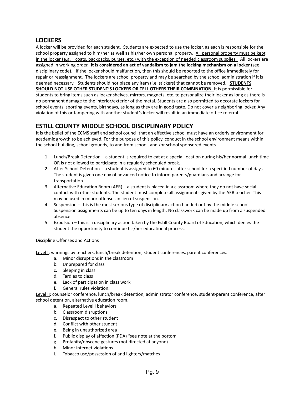# <span id="page-8-0"></span>**LOCKERS**

A locker will be provided for each student. Students are expected to use the locker, as each is responsible for the school property assigned to him/her as well as his/her own personal property. All personal property must be kept in the locker (e.g. coats, backpacks, purses, etc.) with the exception of needed classroom supplies. All lockers are assigned in working order. **It is considered an act of vandalism to jam the locking mechanism on a locker** (see disciplinary code). If the locker should malfunction, then this should be reported to the office immediately for repair or reassignment. The lockers are school property and may be searched by the school administration if it is deemed necessary. Students should not place any item (i.e. stickers) that cannot be removed. **STUDENTS SHOULD NOT USE OTHER STUDENT'S LOCKERS OR TELL OTHERS THEIR COMBINATION.** It is permissible for students to bring items such as locker shelves, mirrors, magnets, etc. to personalize their locker as long as there is no permanent damage to the interior/exterior of the metal. Students are also permitted to decorate lockers for school events, sporting events, birthdays, as long as they are in good taste. Do not cover a neighboring locker. Any violation of this or tampering with another student's locker will result in an immediate office referral.

# <span id="page-8-1"></span>**ESTILL COUNTY MIDDLE SCHOOL DISCIPLINARY POLICY**

It is the belief of the ECMS staff and school council that an effective school must have an orderly environment for academic growth to be achieved. For the purpose of this policy, conduct in the school environment means within the school building, school grounds, to and from school, and /or school sponsored events.

- 1. Lunch/Break Detention a student is required to eat at a special location during his/her normal lunch time OR is not allowed to participate in a regularly scheduled break.
- 2. After School Detention a student is assigned to 60 minutes after school for a specified number of days. The student is given one day of advanced notice to inform parents/guardians and arrange for transportation.
- 3. Alternative Education Room (AER) a student is placed in a classroom where they do not have social contact with other students. The student must complete all assignments given by the AER teacher. This may be used in minor offenses in lieu of suspension.
- 4. Suspension this is the most serious type of disciplinary action handed out by the middle school. Suspension assignments can be up to ten days in length. No classwork can be made up from a suspended absence.
- 5. Expulsion this is a disciplinary action taken by the Estill County Board of Education, which denies the student the opportunity to continue his/her educational process.

#### Discipline Offenses and Actions

Level I: warnings by teachers, lunch/break detention, student conferences, parent conferences.

- a. Minor disruptions in the classroom
- b. Unprepared for class
- c. Sleeping in class
- d. Tardies to class
- e. Lack of participation in class work
- f. General rules violation.

Level II: counselor conference, lunch/break detention, administrator conference, student-parent conference, after school detention, alternative education room.

- a. Repeated Level I behaviors
- b. Classroom disruptions
- c. Disrespect to other student
- d. Conflict with other student
- e. Being in unauthorized area
- f. Public display of affection (PDA) "see note at the bottom
- g. Profanity/obscene gestures (not directed at anyone)
- h. Minor internet violations
- i. Tobacco use/possession of and lighters/matches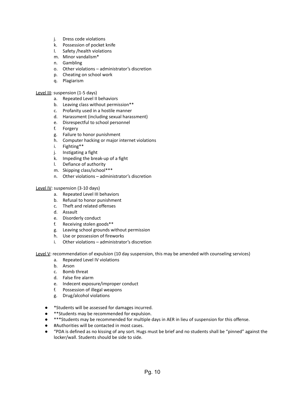- j. Dress code violations
- k. Possession of pocket knife
- l. Safety /health violations
- m. Minor vandalism\*
- n. Gambling
- o. Other violations administrator's discretion
- p. Cheating on school work
- q. Plagiarism

#### Level III: suspension (1-5 days)

- a. Repeated Level II behaviors
- b. Leaving class without permission\*\*
- c. Profanity used in a hostile manner
- d. Harassment (including sexual harassment)
- e. Disrespectful to school personnel
- f. Forgery
- g. Failure to honor punishment
- h. Computer hacking or major internet violations
- i. Fighting\*\*
- j. Instigating a fight
- k. Impeding the break-up of a fight
- l. Defiance of authority
- m. Skipping class/school\*\*\*
- n. Other violations administrator's discretion

#### Level IV: suspension (3-10 days)

- a. Repeated Level III behaviors
- b. Refusal to honor punishment
- c. Theft and related offenses
- d. Assault
- e. Disorderly conduct
- f. Receiving stolen goods\*\*
- g. Leaving school grounds without permission
- h. Use or possession of fireworks
- i. Other violations administrator's discretion

Level V: recommendation of expulsion (10 day suspension, this may be amended with counseling services)

- a. Repeated Level IV violations
- b. Arson
- c. Bomb threat
- d. False fire alarm
- e. Indecent exposure/improper conduct
- f. Possession of illegal weapons
- g. Drug/alcohol violations
- \*Students will be assessed for damages incurred.
- \*\*Students may be recommended for expulsion.
- \*\*\*Students may be recommended for multiple days in AER in lieu of suspension for this offense.
- #Authorities will be contacted in most cases.
- "PDA is defined as no kissing of any sort. Hugs must be brief and no students shall be "pinned" against the locker/wall. Students should be side to side.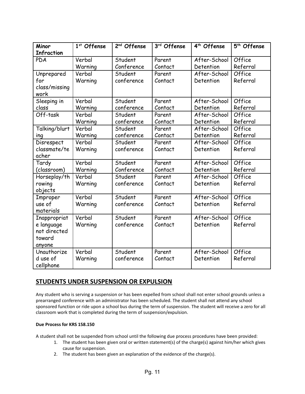| Minor             | 1 <sup>st</sup> Offense | 2 <sup>nd</sup> Offense | 3rd Offense | 4 <sup>th</sup> Offense | 5 <sup>th</sup> Offense |
|-------------------|-------------------------|-------------------------|-------------|-------------------------|-------------------------|
| <b>Infraction</b> |                         |                         |             |                         |                         |
| PDA               | Verbal                  | Student                 | Parent      | After-School            | Office                  |
|                   | Warning                 | Conference              | Contact     | Detention               | Referral                |
| Unprepared        | Verbal                  | Student                 | Parent      | After-School            | Office                  |
| for               | Warning                 | conference              | Contact     | Detention               | Referral                |
| class/missing     |                         |                         |             |                         |                         |
| work              |                         |                         |             |                         |                         |
| Sleeping in       | Verbal                  | Student                 | Parent      | After-School            | Office                  |
| class             | Warning                 | conference              | Contact     | Detention               | Referral                |
| Off-task          | Verbal                  | Student                 | Parent      | After-School            | Office                  |
|                   | Warning                 | conference              | Contact     | Detention               | Referral                |
| Talking/blurt     | Verbal                  | Student                 | Parent      | After-School            | Office                  |
| ing               | Warning                 | conference              | Contact     | Detention               | Referral                |
| <b>Disrespect</b> | Verbal                  | Student                 | Parent      | After-School            | Office                  |
| classmate/te      | Warning                 | conference              | Contact     | Detention               | Referral                |
| acher             |                         |                         |             |                         |                         |
| Tardy             | Verbal                  | Student                 | Parent      | After-School            | Office                  |
| (classroom)       | Warning                 | Conference              | Contact     | Detention               | Referral                |
| Horseplay/th      | Verbal                  | Student                 | Parent      | After-School            | Office                  |
| rowing            | Warning                 | conference              | Contact     | Detention               | Referral                |
| objects           |                         |                         |             |                         |                         |
| Improper          | Verbal                  | Student                 | Parent      | After-School            | Office                  |
| use of            | Warning                 | conference              | Contact     | Detention               | Referral                |
| materials         |                         |                         |             |                         |                         |
| Inappropriat      | Verbal                  | Student                 | Parent      | After-School            | Office                  |
| e language        | Warning                 | conference              | Contact     | Detention               | Referral                |
| not directed      |                         |                         |             |                         |                         |
| toward            |                         |                         |             |                         |                         |
| anyone            |                         |                         |             |                         |                         |
| Unauthorize       | Verbal                  | Student                 | Parent      | After-School            | Office                  |
| d use of          | Warning                 | conference              | Contact     | Detention               | Referral                |
| cellphone         |                         |                         |             |                         |                         |

# <span id="page-10-0"></span>**STUDENTS UNDER SUSPENSION OR EXPULSION**

Any student who is serving a suspension or has been expelled from school shall not enter school grounds unless a prearranged conference with an administrator has been scheduled. The student shall not attend any school sponsored function or ride upon a school bus during the term of suspension. The student will receive a zero for all classroom work that is completed during the term of suspension/expulsion.

#### **Due Process for KRS 158.150**

A student shall not be suspended from school until the following due process procedures have been provided:

- 1. The student has been given oral or written statement(s) of the charge(s) against him/her which gives cause for suspension.
- 2. The student has been given an explanation of the evidence of the charge(s).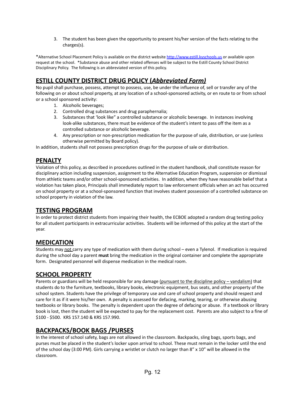3. The student has been given the opportunity to present his/her version of the facts relating to the charges(s).

\*Alternative School Placement Policy is available on the district website [http://www.estill.kyschools.us](http://www.estill.kyschools.us/) or available upon request at the school. \*Substance abuse and other related offenses will be subject to the Estill County School District Disciplinary Policy. The following is an abbreviated version of this policy.

# <span id="page-11-0"></span>**ESTILL COUNTY DISTRICT DRUG POLICY (***Abbreviated Form)*

No pupil shall purchase, possess, attempt to possess, use, be under the influence of, sell or transfer any of the following on or about school property, at any location of a school-sponsored activity, or en route to or from school or a school sponsored activity:

- 1. Alcoholic beverages;
- 2. Controlled drug substances and drug paraphernalia;
- 3. Substances that 'look like" a controlled substance or alcoholic beverage. In instances involving look-alike substances, there must be evidence of the student's intent to pass off the item as a controlled substance or alcoholic beverage.
- 4. Any prescription or non-prescription medication for the purpose of sale, distribution, or use (unless otherwise permitted by Board policy).

In addition, students shall not possess prescription drugs for the purpose of sale or distribution.

#### <span id="page-11-1"></span>**PENALTY**

Violation of this policy, as described in procedures outlined in the student handbook, shall constitute reason for disciplinary action including suspension, assignment to the Alternative Education Program, suspension or dismissal from athletic teams and/or other school-sponsored activities. In addition, when they have reasonable belief that a violation has taken place, Principals shall immediately report to law enforcement officials when an act has occurred on school property or at a school-sponsored function that involves student possession of a controlled substance on school property in violation of the law.

#### <span id="page-11-2"></span>**TESTING PROGRAM**

In order to protect district students from impairing their health, the ECBOE adopted a random drug testing policy for all student participants in extracurricular activities. Students will be informed of this policy at the start of the year.

#### <span id="page-11-3"></span>**MEDICATION**

Students may not carry any type of medication with them during school – even a Tylenol. If medication is required during the school day a parent **must** bring the medication in the original container and complete the appropriate form. Designated personnel will dispense medication in the medical room.

# <span id="page-11-4"></span>**SCHOOL PROPERTY**

Parents or guardians will be held responsible for any damage (pursuant to the discipline policy – vandalism) that students do to the furniture, textbooks, library books, electronic equipment, bus seats, and other property of the school system. Students have the privilege of temporary use and care of school property and should respect and care for it as if it were his/her own. A penalty is assessed for defacing, marking, tearing, or otherwise abusing textbooks or library books. The penalty is dependent upon the degree of defacing or abuse. If a textbook or library book is lost, then the student will be expected to pay for the replacement cost. Parents are also subject to a fine of \$100 - \$500. KRS 157.140 & KRS 157.990.

# <span id="page-11-5"></span>**BACKPACKS/BOOK BAGS /PURSES**

In the interest of school safety, bags are not allowed in the classroom. Backpacks, sling bags, sports bags, and purses must be placed in the student's locker upon arrival to school. These must remain in the locker until the end of the school day (3:00 PM). Girls carrying a wristlet or clutch no larger than 8" x 10" will be allowed in the classroom.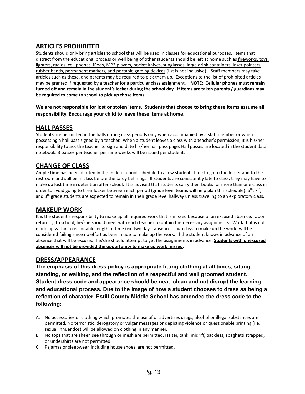# <span id="page-12-0"></span>**ARTICLES PROHIBITED**

Students should only bring articles to school that will be used in classes for educational purposes. Items that distract from the educational process or well being of other students should be left at home such as fireworks, toys, lighters, radios, cell phones, iPods, MP3 players, pocket knives, sunglasses, large drink containers, laser pointers, rubber bands, permanent markers, and portable gaming devices (list is not inclusive). Staff members may take articles such as these, and parents may be required to pick them up. Exceptions to the list of prohibited articles may be granted if requested by a teacher for a particular class assignment. **NOTE: Cellular phones must remain** turned off and remain in the student's locker during the school day. If items are taken parents / guardians may **be required to come to school to pick up those items.**

#### We are not responsible for lost or stolen items. Students that choose to bring these items assume all **responsibility. Encourage your child to leave these items at home.**

#### <span id="page-12-1"></span>**HALL PASSES**

Students are permitted in the halls during class periods only when accompanied by a staff member or when possessing a hall pass signed by a teacher. When a student leaves a class with a teacher's permission, it is his/her responsibility to ask the teacher to sign and date his/her hall pass page. Hall passes are located in the student data notebook. 3 passes per teacher per nine weeks will be issued per student.

#### <span id="page-12-2"></span>**CHANGE OF CLASS**

Ample time has been allotted in the middle school schedule to allow students time to go to the locker and to the restroom and still be in class before the tardy bell rings. If students are consistently late to class, they may have to make up lost time in detention after school. It is advised that students carry their books for more than one class in order to avoid going to their locker between each period (grade level teams will help plan this schedule).  $6^{th}$ , 7<sup>th</sup>, and 8<sup>th</sup> grade students are expected to remain in their grade level hallway unless traveling to an exploratory class.

#### <span id="page-12-3"></span>**MAKEUP WORK**

It is the student's responsibility to make up all required work that is missed because of an excused absence. Upon returning to school, he/she should meet with each teacher to obtain the necessary assignments. Work that is not made up within a reasonable length of time (ex. two days' absence – two days to make up the work) will be considered failing since no effort as been made to make up the work. If the student knows in advance of an absence that will be excused, he/she should attempt to get the assignments in advance. **Students with unexcused absences will not be provided the opportunity to make up work missed.**

#### <span id="page-12-4"></span>**DRESS/APPEARANCE**

**The emphasis of this dress policy is appropriate fitting clothing at all times, sitting, standing, or walking, and the reflection of a respectful and well groomed student. Student dress code and appearance should be neat, clean and not disrupt the learning and educational process. Due to the image of how a student chooses to dress as being a reflection of character, Estill County Middle School has amended the dress code to the following:**

- A. No accessories or clothing which promotes the use of or advertises drugs, alcohol or illegal substances are permitted. No terroristic, derogatory or vulgar messages or depicting violence or questionable printing (i.e., sexual innuendos) will be allowed on clothing in any manner.
- B. No tops that are sheer, see through or mesh are permitted. Halter, tank, midriff, backless, spaghetti strapped, or undershirts are not permitted.
- C. Pajamas or sleepwear, including house shoes, are not permitted.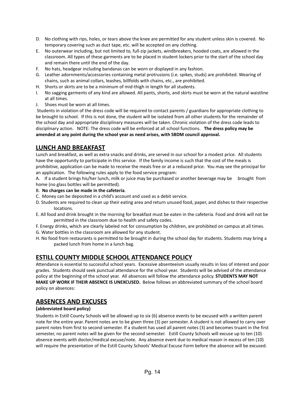- D. No clothing with rips, holes, or tears above the knee are permitted for any student unless skin is covered. No temporary covering such as duct tape, etc. will be accepted on any clothing.
- E. No outerwear including, but not limited to, full-zip jackets, windbreakers, hooded coats, are allowed in the classroom. All types of these garments are to be placed in student lockers prior to the start of the school day and remain there until the end of the day.
- F. No hats, headgear including bandanas can be worn or displayed in any fashion.
- G. Leather adornments/accessories containing metal protrusions (i.e. spikes, studs) are prohibited. Wearing of chains, such as animal collars, leashes, billfolds with chains, etc., are prohibited.
- H. Shorts or skirts are to be a minimum of mid-thigh in length for all students.
- I. No sagging garments of any kind are allowed. All pants, shorts, and skirts must be worn at the natural waistline at all times.
- J. Shoes must be worn at all times.

Students in violation of the dress code will be required to contact parents / guardians for appropriate clothing to be brought to school. If this is not done, the student will be isolated from all other students for the remainder of the school day and appropriate disciplinary measures will be taken. Chronic violation of the dress code leads to disciplinary action. NOTE: The dress code will be enforced at all school functions. **The dress policy may be amended at any point during the school year as need arises, with SBDM council approval.**

#### <span id="page-13-0"></span>**LUNCH AND BREAKFAST**

Lunch and breakfast, as well as extra snacks and drinks, are served in our school for a modest price. All students have the opportunity to participate in this service. If the family income is such that the cost of the meals is prohibitive, application can be made to receive the meals free or at a reduced price. You may see the principal for an application. The following rules apply to the food service program:

A. If a student brings his/her lunch, milk or juice may be purchased or another beverage may be brought from home (no glass bottles will be permitted).

- B. **No charges can be made in the cafeteria**.
- C. Money can be deposited in a child's account and used as a debit service.
- D. Students are required to clean up their eating area and return unused food, paper, and dishes to their respective locations.
- E. All food and drink brought in the morning for breakfast must be eaten in the cafeteria. Food and drink will not be permitted in the classroom due to health and safety codes.
- F. Energy drinks, which are clearly labeled not for consumption by children, are prohibited on campus at all times.
- G. Water bottles in the classroom are allowed for any student.
- H. No food from restaurants is permitted to be brought in during the school day for students. Students may bring a packed lunch from home in a lunch bag.

# <span id="page-13-1"></span>**ESTILL COUNTY MIDDLE SCHOOL ATTENDANCE POLICY**

Attendance is essential to successful school years. Excessive absenteeism usually results in loss of interest and poor grades. Students should seek punctual attendance for the school year. Students will be advised of the attendance policy at the beginning of the school year. All absences will follow the attendance policy. **STUDENTS MAY NOT MAKE UP WORK IF THEIR ABSENCE IS UNEXCUSED.** Below follows an abbreviated summary of the school board policy on absences:

#### <span id="page-13-2"></span>**ABSENCES AND EXCUSES**

#### **(abbreviated board policy)**

Students in Estill County Schools will be allowed up to six (6) absence events to be excused with a written parent note for the entire year. Parent notes are to be given three (3) per semester. A student is not allowed to carry over parent notes from first to second semester. If a student has used all parent notes (3) and becomes truant in the first semester, no parent notes will be given for the second semester. Estill County Schools will excuse up to ten (10) absence events with doctor/medical excuse/note. Any absence event due to medical reason in excess of ten (10) will require the presentation of the Estill County Schools' Medical Excuse Form before the absence will be excused.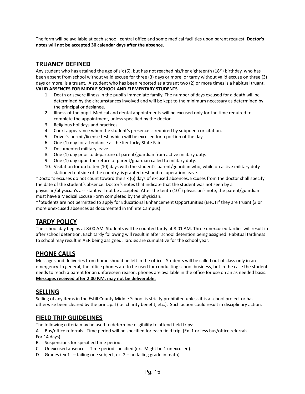The form will be available at each school, central office and some medical facilities upon parent request. **Doctor's notes will not be accepted 30 calendar days after the absence.**

#### <span id="page-14-0"></span>**TRUANCY DEFINED**

Any student who has attained the age of six (6), but has not reached his/her eighteenth (18<sup>th</sup>) birthday, who has been absent from school without valid excuse for three (3) days or more, or tardy without valid excuse on three (3) days or more, is a truant. A student who has been reported as a truant two (2) or more times is a habitual truant. **VALID ABSENCES FOR MIDDLE SCHOOL AND ELEMENTARY STUDENTS**

- <span id="page-14-1"></span>1. Death or severe illness in the pupil's immediate family. The number of days excused for a death will be determined by the circumstances involved and will be kept to the minimum necessary as determined by the principal or designee.
- 2. Illness of the pupil. Medical and dental appointments will be excused only for the time required to complete the appointment, unless specified by the doctor.
- 3. Religious holidays and practices.
- 4. Court appearance when the student's presence is required by subpoena or citation.
- 5. Driver's permit/license test, which will be excused for a portion of the day.
- 6. One (1) day for attendance at the Kentucky State Fair.
- 7. Documented military leave.
- 8. One (1) day prior to departure of parent/guardian from active military duty.
- 9. One (1) day upon the return of parent/guardian called to military duty.
- 10. Visitation for up to ten (10) days with the student's parent/guardian who, while on active military duty stationed outside of the country, is granted rest and recuperation leave.

\*Doctor's excuses do not count toward the six (6) days of excused absences. Excuses from the doctor shall specify the date of the student's absence. Doctor's notes that indicate that the student was not seen by a physician/physician's assistant will not be accepted. After the tenth (10<sup>th</sup>) physician's note, the parent/guardian must have a Medical Excuse Form completed by the physician.

\*\*Students are not permitted to apply for Educational Enhancement Opportunities (EHO) if they are truant (3 or more unexcused absences as documented in Infinite Campus).

#### <span id="page-14-2"></span>**TARDY POLICY**

The school day begins at 8:00 AM. Students will be counted tardy at 8:01 AM. Three unexcused tardies will result in after school detention. Each tardy following will result in after school detention being assigned. Habitual tardiness to school may result in AER being assigned. Tardies are cumulative for the school year.

#### <span id="page-14-3"></span>**PHONE CALLS**

Messages and deliveries from home should be left in the office. Students will be called out of class only in an emergency. In general, the office phones are to be used for conducting school business, but in the case the student needs to reach a parent for an unforeseen reason, phones are available in the office for use on an as needed basis. **Messages received after 2:00 P.M. may not be deliverable.**

#### <span id="page-14-4"></span>**SELLING**

Selling of any items in the Estill County Middle School is strictly prohibited unless it is a school project or has otherwise been cleared by the principal (i.e. charity benefit, etc.). Such action could result in disciplinary action.

#### <span id="page-14-5"></span>**FIELD TRIP GUIDELINES**

The following criteria may be used to determine eligibility to attend field trips:

A. Bus/office referrals. Time period will be specified for each field trip. (Ex. 1 or less bus/office referrals For 14 days)

- B. Suspensions for specified time period.
- C. Unexcused absences. Time period specified (ex. Might be 1 unexcused).
- D. Grades (ex 1.  $-$  failing one subject, ex.  $2 -$  no failing grade in math)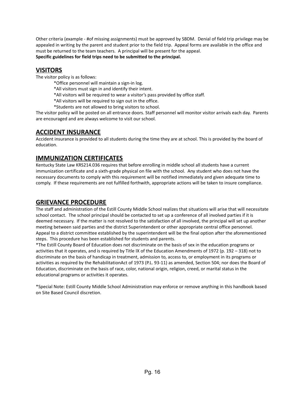Other criteria (example - #of missing assignments) must be approved by SBDM. Denial of field trip privilege may be appealed in writing by the parent and student prior to the field trip. Appeal forms are available in the office and must be returned to the team teachers. A principal will be present for the appeal. **Specific guidelines for field trips need to be submitted to the principal.**

#### <span id="page-15-0"></span>**VISITORS**

The visitor policy is as follows:

- \*Office personnel will maintain a sign-in log.
- \*All visitors must sign in and identify their intent.
- \*All visitors will be required to wear a visitor's pass provided by office staff.
- \*All visitors will be required to sign out in the office.
- \*Students are not allowed to bring visitors to school.

The visitor policy will be posted on all entrance doors. Staff personnel will monitor visitor arrivals each day. Parents are encouraged and are always welcome to visit our school.

# <span id="page-15-1"></span>**ACCIDENT INSURANCE**

Accident insurance is provided to all students during the time they are at school. This is provided by the board of education.

# <span id="page-15-2"></span>**IMMUNIZATION CERTIFICATES**

Kentucky State Law KRS214.036 requires that before enrolling in middle school all students have a current immunization certificate and a sixth-grade physical on file with the school. Any student who does not have the necessary documents to comply with this requirement will be notified immediately and given adequate time to comply. If these requirements are not fulfilled forthwith, appropriate actions will be taken to insure compliance.

# <span id="page-15-3"></span>**GRIEVANCE PROCEDURE**

The staff and administration of the Estill County Middle School realizes that situations will arise that will necessitate school contact. The school principal should be contacted to set up a conference of all involved parties if it is deemed necessary. If the matter is not resolved to the satisfaction of all involved, the principal will set up another meeting between said parties and the district Superintendent or other appropriate central office personnel. Appeal to a district committee established by the superintendent will be the final option after the aforementioned steps. This procedure has been established for students and parents.

\*The Estill County Board of Education does not discriminate on the basis of sex in the education programs or activities that it operates, and is required by Title IX of the Education Amendments of 1972 (p. 192 – 318) not to discriminate on the basis of handicap in treatment, admission to, access to, or employment in its programs or activities as required by the RehabilitationAct of 1973 (P.L. 93-11) as amended, Section 504; nor does the Board of Education, discriminate on the basis of race, color, national origin, religion, creed, or marital status in the educational programs or activities it operates.

\*Special Note: Estill County Middle School Administration may enforce or remove anything in this handbook based on Site Based Council discretion.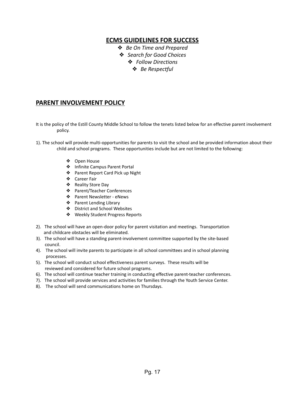# **ECMS GUIDELINES FOR SUCCESS**

- ❖ *Be On Time and Prepared*
- ❖ *Search for Good Choices*
	- ❖ *Follow Directions*
		- ❖ *Be Respectful*

# <span id="page-16-1"></span><span id="page-16-0"></span>**PARENT INVOLVEMENT POLICY**

- It is the policy of the Estill County Middle School to follow the tenets listed below for an effective parent involvement policy.
- 1). The school will provide multi-opportunities for parents to visit the school and be provided information about their child and school programs. These opportunities include but are not limited to the following:
	- ❖ Open House
	- ❖ Infinite Campus Parent Portal
	- ❖ Parent Report Card Pick up Night
	- ❖ Career Fair
	- ❖ Reality Store Day
	- ❖ Parent/Teacher Conferences
	- ❖ Parent Newsletter eNews
	- ❖ Parent Lending Library
	- ❖ District and School Websites
	- ❖ Weekly Student Progress Reports
- 2). The school will have an open-door policy for parent visitation and meetings. Transportation and childcare obstacles will be eliminated.
- 3). The school will have a standing parent-involvement committee supported by the site-based council.
- 4). The school will invite parents to participate in all school committees and in school planning processes.
- 5). The school will conduct school effectiveness parent surveys. These results will be reviewed and considered for future school programs.
- 6). The school will continue teacher training in conducting effective parent-teacher conferences.
- 7). The school will provide services and activities for families through the Youth Service Center.
- 8). The school will send communications home on Thursdays.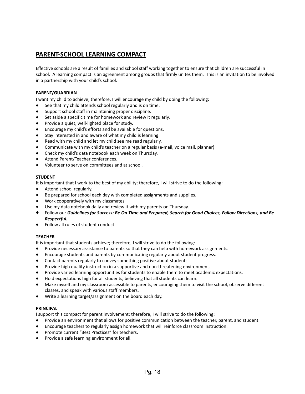# <span id="page-17-0"></span>**PARENT-SCHOOL LEARNING COMPACT**

Effective schools are a result of families and school staff working together to ensure that children are successful in school. A learning compact is an agreement among groups that firmly unites them. This is an invitation to be involved in a partnership with your child's school.

#### **PARENT/GUARDIAN**

I want my child to achieve; therefore, I will encourage my child by doing the following:

- See that my child attends school regularly and is on time.
- Support school staff in maintaining proper discipline.
- Set aside a specific time for homework and review it regularly.
- Provide a quiet, well-lighted place for study.
- Encourage my child's efforts and be available for questions.
- Stay interested in and aware of what my child is learning.
- Read with my child and let my child see me read regularly.
- Communicate with my child's teacher on a regular basis (e-mail, voice mail, planner)
- Check my child's data notebook each week on Thursday.
- Attend Parent/Teacher conferences.
- ♦ Volunteer to serve on committees and at school.

#### **STUDENT**

It is important that I work to the best of my ability; therefore, I will strive to do the following:

- ♦ Attend school regularly.
- Be prepared for school each day with completed assignments and supplies.
- Work cooperatively with my classmates
- Use my data notebook daily and review it with my parents on Thursday.
- ♦ Follow our *Guidelines for Success: Be On Time and Prepared, Search for Good Choices, Follow Directions, and Be Respectful.*
- ♦ Follow all rules of student conduct.

#### **TEACHER**

It is important that students achieve; therefore, I will strive to do the following:

- ♦ Provide necessary assistance to parents so that they can help with homework assignments.
- Encourage students and parents by communicating regularly about student progress.
- ♦ Contact parents regularly to convey something positive about students.
- Provide high quality instruction in a supportive and non-threatening environment.
- Provide varied learning opportunities for students to enable them to meet academic expectations.
- Hold expectations high for all students, believing that all students can learn.
- Make myself and my classroom accessible to parents, encouraging them to visit the school, observe different classes, and speak with various staff members.
- ♦ Write a learning target/assignment on the board each day.

#### **PRINCIPAL**

I support this compact for parent involvement; therefore, I will strive to do the following:

- Provide an environment that allows for positive communication between the teacher, parent, and student.
- ♦ Encourage teachers to regularly assign homework that will reinforce classroom instruction.
- ♦ Promote current "Best Practices" for teachers.
- ♦ Provide a safe learning environment for all.